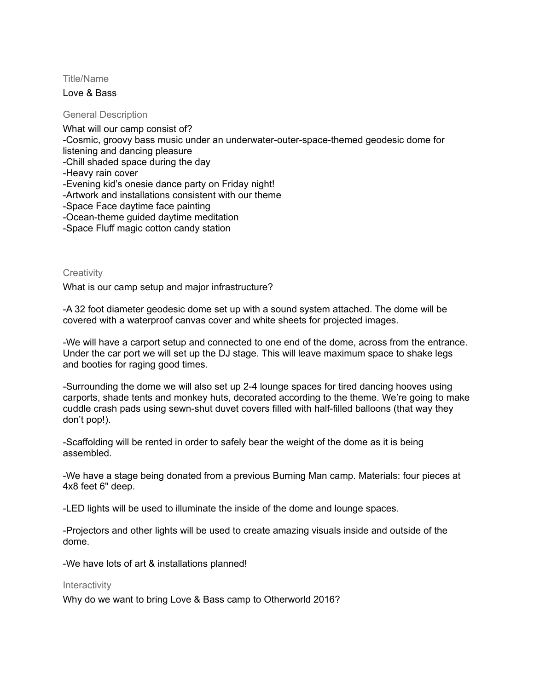Title/Name

Love & Bass

General Description

What will our camp consist of? -Cosmic, groovy bass music under an underwater-outer-space-themed geodesic dome for listening and dancing pleasure -Chill shaded space during the day -Heavy rain cover -Evening kid's onesie dance party on Friday night! -Artwork and installations consistent with our theme -Space Face daytime face painting -Ocean-theme guided daytime meditation -Space Fluff magic cotton candy station

**Creativity** 

What is our camp setup and major infrastructure?

-A 32 foot diameter geodesic dome set up with a sound system attached. The dome will be covered with a waterproof canvas cover and white sheets for projected images.

-We will have a carport setup and connected to one end of the dome, across from the entrance. Under the car port we will set up the DJ stage. This will leave maximum space to shake legs and booties for raging good times.

-Surrounding the dome we will also set up 2-4 lounge spaces for tired dancing hooves using carports, shade tents and monkey huts, decorated according to the theme. We're going to make cuddle crash pads using sewn-shut duvet covers filled with half-filled balloons (that way they don't pop!).

-Scaffolding will be rented in order to safely bear the weight of the dome as it is being assembled.

-We have a stage being donated from a previous Burning Man camp. Materials: four pieces at 4x8 feet 6" deep.

-LED lights will be used to illuminate the inside of the dome and lounge spaces.

-Projectors and other lights will be used to create amazing visuals inside and outside of the dome.

-We have lots of art & installations planned!

**Interactivity** 

Why do we want to bring Love & Bass camp to Otherworld 2016?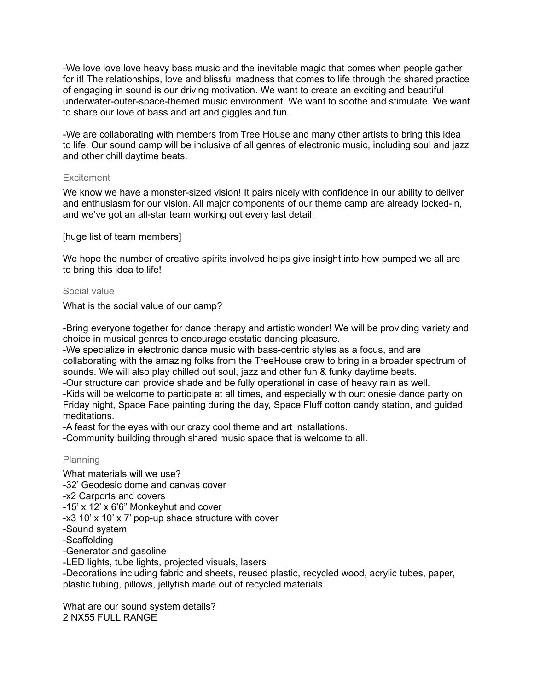-We love love love heavy bass music and the inevitable magic that comes when people gather for it! The relationships, love and blissful madness that comes to life through the shared practice of engaging in sound is our driving motivation. We want to create an exciting and beautiful underwater-outer-space-themed music environment. We want to soothe and stimulate. We want to share our love of bass and art and giggles and fun.

-We are collaborating with members from Tree House and many other artists to bring this idea to life. Our sound camp will be inclusive of all genres of electronic music, including soul and jazz and other chill daytime beats.

## **Excitement**

We know we have a monster-sized vision! It pairs nicely with confidence in our ability to deliver and enthusiasm for our vision. All major components of our theme camp are already locked-in, and we've got an all-star team working out every last detail:

[huge list of team members]

We hope the number of creative spirits involved helps give insight into how pumped we all are to bring this idea to life!

## Social value

What is the social value of our camp?

-Bring everyone together for dance therapy and artistic wonder! We will be providing variety and choice in musical genres to encourage ecstatic dancing pleasure.

-We specialize in electronic dance music with bass-centric styles as a focus, and are collaborating with the amazing folks from the TreeHouse crew to bring in a broader spectrum of sounds. We will also play chilled out soul, jazz and other fun & funky daytime beats.

-Our structure can provide shade and be fully operational in case of heavy rain as well. -Kids will be welcome to participate at all times, and especially with our: onesie dance party on Friday night, Space Face painting during the day, Space Fluff cotton candy station, and guided

meditations.

-A feast for the eyes with our crazy cool theme and art installations.

-Community building through shared music space that is welcome to all.

## Planning

What materials will we use? -32' Geodesic dome and canvas cover -x2 Carports and covers -15' x 12' x 6'6" Monkeyhut and cover -x3 10' x 10' x 7' pop-up shade structure with cover -Sound system -Scaffolding -Generator and gasoline -LED lights, tube lights, projected visuals, lasers -Decorations including fabric and sheets, reused plastic, recycled wood, acrylic tubes, paper, plastic tubing, pillows, jellyfish made out of recycled materials.

What are our sound system details? 2 NX55 FULL RANGE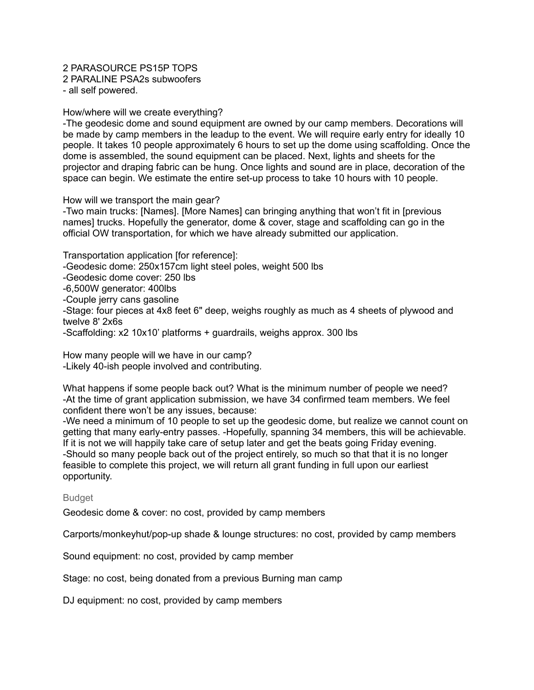# 2 PARASOURCE PS15P TOPS

2 PARALINE PSA2s subwoofers

- all self powered.

## How/where will we create everything?

-The geodesic dome and sound equipment are owned by our camp members. Decorations will be made by camp members in the leadup to the event. We will require early entry for ideally 10 people. It takes 10 people approximately 6 hours to set up the dome using scaffolding. Once the dome is assembled, the sound equipment can be placed. Next, lights and sheets for the projector and draping fabric can be hung. Once lights and sound are in place, decoration of the space can begin. We estimate the entire set-up process to take 10 hours with 10 people.

How will we transport the main gear?

-Two main trucks: [Names]. [More Names] can bringing anything that won't fit in [previous names] trucks. Hopefully the generator, dome & cover, stage and scaffolding can go in the official OW transportation, for which we have already submitted our application.

Transportation application [for reference]: -Geodesic dome: 250x157cm light steel poles, weight 500 lbs -Geodesic dome cover: 250 lbs -6,500W generator: 400lbs -Couple jerry cans gasoline -Stage: four pieces at 4x8 feet 6" deep, weighs roughly as much as 4 sheets of plywood and twelve 8' 2x6s -Scaffolding: x2 10x10' platforms + guardrails, weighs approx. 300 lbs

How many people will we have in our camp? -Likely 40-ish people involved and contributing.

What happens if some people back out? What is the minimum number of people we need? -At the time of grant application submission, we have 34 confirmed team members. We feel confident there won't be any issues, because:

-We need a minimum of 10 people to set up the geodesic dome, but realize we cannot count on getting that many early-entry passes. -Hopefully, spanning 34 members, this will be achievable. If it is not we will happily take care of setup later and get the beats going Friday evening. -Should so many people back out of the project entirely, so much so that that it is no longer feasible to complete this project, we will return all grant funding in full upon our earliest opportunity.

## Budget

Geodesic dome & cover: no cost, provided by camp members

Carports/monkeyhut/pop-up shade & lounge structures: no cost, provided by camp members

Sound equipment: no cost, provided by camp member

Stage: no cost, being donated from a previous Burning man camp

DJ equipment: no cost, provided by camp members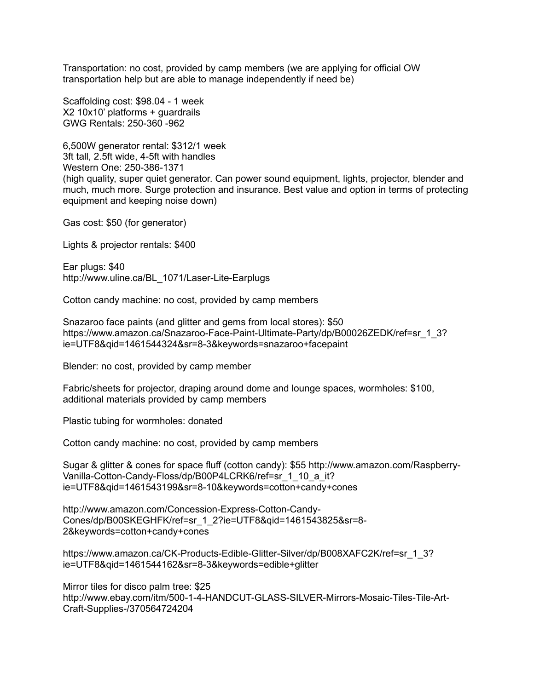Transportation: no cost, provided by camp members (we are applying for official OW transportation help but are able to manage independently if need be)

Scaffolding cost: \$98.04 - 1 week X2 10x10' platforms + guardrails GWG Rentals: 250-360 -962

6,500W generator rental: \$312/1 week 3ft tall, 2.5ft wide, 4-5ft with handles Western One: 250-386-1371 (high quality, super quiet generator. Can power sound equipment, lights, projector, blender and much, much more. Surge protection and insurance. Best value and option in terms of protecting equipment and keeping noise down)

Gas cost: \$50 (for generator)

Lights & projector rentals: \$400

Ear plugs: \$40 http://www.uline.ca/BL\_1071/Laser-Lite-Earplugs

Cotton candy machine: no cost, provided by camp members

Snazaroo face paints (and glitter and gems from local stores): \$50 https://www.amazon.ca/Snazaroo-Face-Paint-Ultimate-Party/dp/B00026ZEDK/ref=sr\_1\_3? ie=UTF8&qid=1461544324&sr=8-3&keywords=snazaroo+facepaint

Blender: no cost, provided by camp member

Fabric/sheets for projector, draping around dome and lounge spaces, wormholes: \$100, additional materials provided by camp members

Plastic tubing for wormholes: donated

Cotton candy machine: no cost, provided by camp members

Sugar & glitter & cones for space fluff (cotton candy): \$55 http://www.amazon.com/Raspberry-Vanilla-Cotton-Candy-Floss/dp/B00P4LCRK6/ref=sr\_1\_10\_a\_it? ie=UTF8&qid=1461543199&sr=8-10&keywords=cotton+candy+cones

http://www.amazon.com/Concession-Express-Cotton-Candy-Cones/dp/B00SKEGHFK/ref=sr\_1\_2?ie=UTF8&qid=1461543825&sr=8- 2&keywords=cotton+candy+cones

https://www.amazon.ca/CK-Products-Edible-Glitter-Silver/dp/B008XAFC2K/ref=sr\_1\_3? ie=UTF8&qid=1461544162&sr=8-3&keywords=edible+glitter

Mirror tiles for disco palm tree: \$25 http://www.ebay.com/itm/500-1-4-HANDCUT-GLASS-SILVER-Mirrors-Mosaic-Tiles-Tile-Art-Craft-Supplies-/370564724204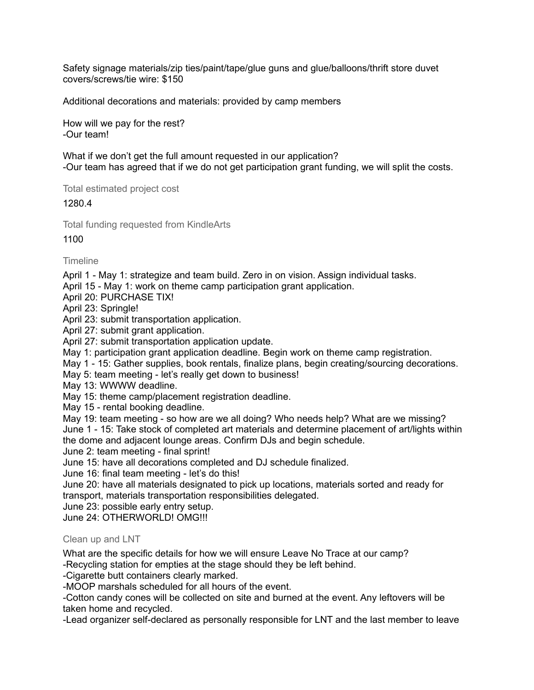Safety signage materials/zip ties/paint/tape/glue guns and glue/balloons/thrift store duvet covers/screws/tie wire: \$150

Additional decorations and materials: provided by camp members

How will we pay for the rest? -Our team!

What if we don't get the full amount requested in our application? -Our team has agreed that if we do not get participation grant funding, we will split the costs.

Total estimated project cost

1280.4

Total funding requested from KindleArts

1100

**Timeline** 

April 1 - May 1: strategize and team build. Zero in on vision. Assign individual tasks.

April 15 - May 1: work on theme camp participation grant application.

April 20: PURCHASE TIX!

April 23: Springle!

April 23: submit transportation application.

April 27: submit grant application.

April 27: submit transportation application update.

May 1: participation grant application deadline. Begin work on theme camp registration.

May 1 - 15: Gather supplies, book rentals, finalize plans, begin creating/sourcing decorations.

May 5: team meeting - let's really get down to business!

May 13: WWWW deadline.

May 15: theme camp/placement registration deadline.

May 15 - rental booking deadline.

May 19: team meeting - so how are we all doing? Who needs help? What are we missing? June 1 - 15: Take stock of completed art materials and determine placement of art/lights within the dome and adjacent lounge areas. Confirm DJs and begin schedule.

June 2: team meeting - final sprint!

June 15: have all decorations completed and DJ schedule finalized.

June 16: final team meeting - let's do this!

June 20: have all materials designated to pick up locations, materials sorted and ready for transport, materials transportation responsibilities delegated.

June 23: possible early entry setup.

June 24: OTHERWORLD! OMG!!!

## Clean up and LNT

What are the specific details for how we will ensure Leave No Trace at our camp?

-Recycling station for empties at the stage should they be left behind.

-Cigarette butt containers clearly marked.

-MOOP marshals scheduled for all hours of the event.

-Cotton candy cones will be collected on site and burned at the event. Any leftovers will be taken home and recycled.

-Lead organizer self-declared as personally responsible for LNT and the last member to leave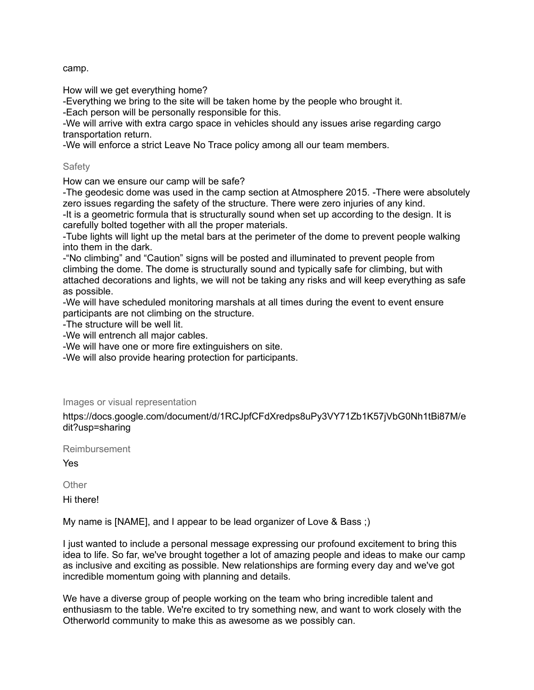camp.

How will we get everything home?

-Everything we bring to the site will be taken home by the people who brought it.

-Each person will be personally responsible for this.

-We will arrive with extra cargo space in vehicles should any issues arise regarding cargo transportation return.

-We will enforce a strict Leave No Trace policy among all our team members.

## **Safety**

How can we ensure our camp will be safe?

-The geodesic dome was used in the camp section at Atmosphere 2015. -There were absolutely zero issues regarding the safety of the structure. There were zero injuries of any kind. -It is a geometric formula that is structurally sound when set up according to the design. It is carefully bolted together with all the proper materials.

-Tube lights will light up the metal bars at the perimeter of the dome to prevent people walking into them in the dark.

-"No climbing" and "Caution" signs will be posted and illuminated to prevent people from climbing the dome. The dome is structurally sound and typically safe for climbing, but with attached decorations and lights, we will not be taking any risks and will keep everything as safe as possible.

-We will have scheduled monitoring marshals at all times during the event to event ensure participants are not climbing on the structure.

-The structure will be well lit.

-We will entrench all major cables.

-We will have one or more fire extinguishers on site.

-We will also provide hearing protection for participants.

## Images or visual representation

https://docs.google.com/document/d/1RCJpfCFdXredps8uPy3VY71Zb1K57jVbG0Nh1tBi87M/e dit?usp=sharing

Reimbursement

Yes

**Other** 

Hi there!

My name is [NAME], and I appear to be lead organizer of Love & Bass ;)

I just wanted to include a personal message expressing our profound excitement to bring this idea to life. So far, we've brought together a lot of amazing people and ideas to make our camp as inclusive and exciting as possible. New relationships are forming every day and we've got incredible momentum going with planning and details.

We have a diverse group of people working on the team who bring incredible talent and enthusiasm to the table. We're excited to try something new, and want to work closely with the Otherworld community to make this as awesome as we possibly can.